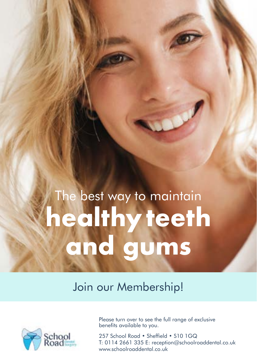# The best way to maintain **healthyteeth and gums**

Join our Membership!



Please turn over to see the full range of exclusive benefits available to you.

257 School Road • Sheffield • S10 1GQ T: 0114 2661 335 E: [reception@schoolroaddental.co.uk](mailto:reception@schoolroaddental.co.uk) [www.schoolroaddental.co.uk](http://www.schoolroaddental.co.uk)